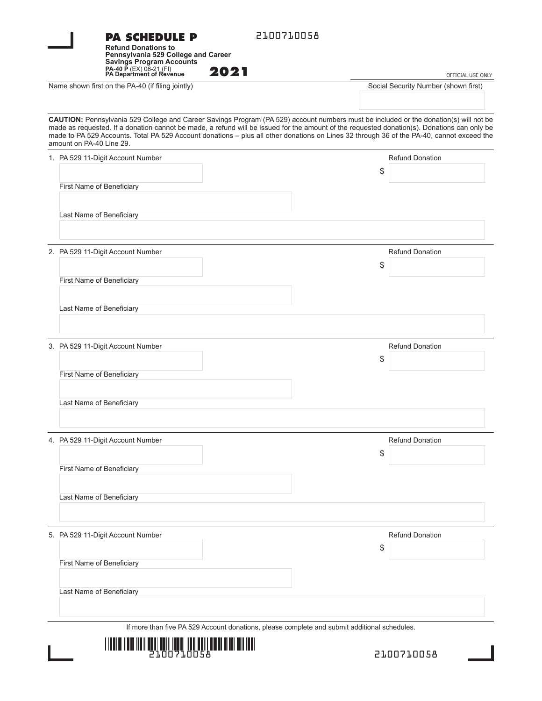|  | 2100710058<br><b>PA SCHEDULE P</b><br><b>Refund Donations to</b><br>Pennsylvania 529 College and Career<br><b>Savings Program Accounts</b><br>PA-40 P (EX) 06-21 (FI)<br>PA Department of Revenue                                                                                                                                                                                                                                                             |                                                           |
|--|---------------------------------------------------------------------------------------------------------------------------------------------------------------------------------------------------------------------------------------------------------------------------------------------------------------------------------------------------------------------------------------------------------------------------------------------------------------|-----------------------------------------------------------|
|  | 2021<br>Name shown first on the PA-40 (if filing jointly)                                                                                                                                                                                                                                                                                                                                                                                                     | OFFICIAL USE ONLY<br>Social Security Number (shown first) |
|  |                                                                                                                                                                                                                                                                                                                                                                                                                                                               |                                                           |
|  | CAUTION: Pennsylvania 529 College and Career Savings Program (PA 529) account numbers must be included or the donation(s) will not be<br>made as requested. If a donation cannot be made, a refund will be issued for the amount of the requested donation(s). Donations can only be<br>made to PA 529 Accounts. Total PA 529 Account donations - plus all other donations on Lines 32 through 36 of the PA-40, cannot exceed the<br>amount on PA-40 Line 29. |                                                           |
|  | 1. PA 529 11-Digit Account Number                                                                                                                                                                                                                                                                                                                                                                                                                             | <b>Refund Donation</b><br>\$                              |
|  | First Name of Beneficiary                                                                                                                                                                                                                                                                                                                                                                                                                                     |                                                           |
|  | Last Name of Beneficiary                                                                                                                                                                                                                                                                                                                                                                                                                                      |                                                           |
|  |                                                                                                                                                                                                                                                                                                                                                                                                                                                               |                                                           |
|  | 2. PA 529 11-Digit Account Number                                                                                                                                                                                                                                                                                                                                                                                                                             | <b>Refund Donation</b>                                    |
|  | First Name of Beneficiary                                                                                                                                                                                                                                                                                                                                                                                                                                     | \$                                                        |
|  |                                                                                                                                                                                                                                                                                                                                                                                                                                                               |                                                           |
|  | Last Name of Beneficiary                                                                                                                                                                                                                                                                                                                                                                                                                                      |                                                           |
|  | 3. PA 529 11-Digit Account Number                                                                                                                                                                                                                                                                                                                                                                                                                             | <b>Refund Donation</b>                                    |
|  | First Name of Beneficiary                                                                                                                                                                                                                                                                                                                                                                                                                                     | \$                                                        |
|  |                                                                                                                                                                                                                                                                                                                                                                                                                                                               |                                                           |
|  | Last Name of Beneficiary                                                                                                                                                                                                                                                                                                                                                                                                                                      |                                                           |
|  | 4. PA 529 11-Digit Account Number                                                                                                                                                                                                                                                                                                                                                                                                                             | <b>Refund Donation</b>                                    |
|  |                                                                                                                                                                                                                                                                                                                                                                                                                                                               | \$                                                        |
|  | First Name of Beneficiary                                                                                                                                                                                                                                                                                                                                                                                                                                     |                                                           |
|  | Last Name of Beneficiary                                                                                                                                                                                                                                                                                                                                                                                                                                      |                                                           |
|  | 5. PA 529 11-Digit Account Number                                                                                                                                                                                                                                                                                                                                                                                                                             | <b>Refund Donation</b>                                    |
|  |                                                                                                                                                                                                                                                                                                                                                                                                                                                               | \$                                                        |
|  | First Name of Beneficiary                                                                                                                                                                                                                                                                                                                                                                                                                                     |                                                           |
|  | Last Name of Beneficiary                                                                                                                                                                                                                                                                                                                                                                                                                                      |                                                           |
|  | If more than five PA 529 Account donations, please complete and submit additional schedules.                                                                                                                                                                                                                                                                                                                                                                  |                                                           |
|  | <u> 1 IVAN ASIA 110 ANII 120 ANII 120 ANII 120 ANII 120 ANII 120 ANII 120 ANII 120 ANII 120 ANII 120 ANII 120 ANI</u>                                                                                                                                                                                                                                                                                                                                         |                                                           |
|  | 21.NN71.NN5A                                                                                                                                                                                                                                                                                                                                                                                                                                                  | 2100710058                                                |